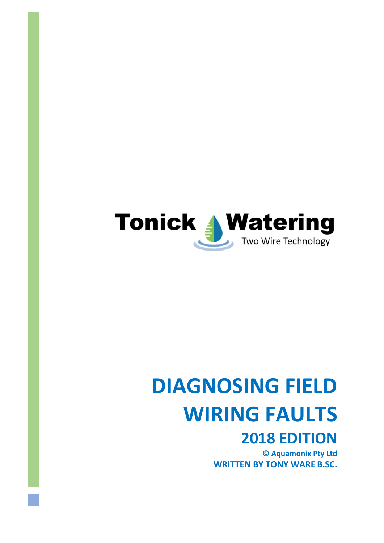

# **DIAGNOSING FIELD WIRING FAULTS**

# **2018 EDITION**

**© Aquamonix Pty Ltd WRITTEN BY TONY WARE B.SC.**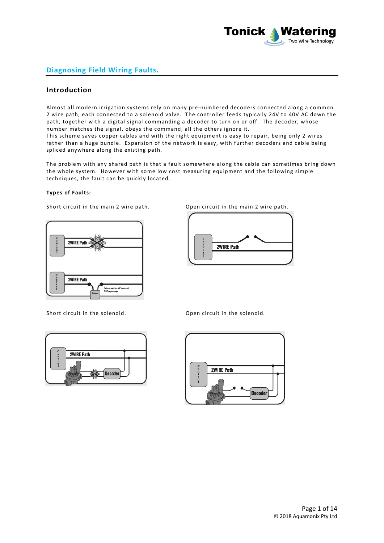

# **Diagnosing Field Wiring Faults.**

## **Introduction**

Almost all modern irrigation systems rely on many pre-numbered decoders connected along a common 2 wire path, each connected to a solenoid valve. The controller feeds typically 24V to 40V AC down the path, together with a digital signal commanding a decoder to turn on or off. The decoder, whose number matches the signal, obeys the command, all the others ignore it. This scheme saves copper cables and with the right equipment is easy to repair, being only 2 wires rather than a huge bundle. Expansion of the network is easy, with further decoders and cable being spliced anywhere along the existing path.

The problem with any shared path is that a fault somewhere along the cable can sometimes bring down the whole system. However with some low cost measuring equipment and the following simple techniques, the fault can be quickly located.

#### **Types of Faults:**

Short circuit in the main 2 wire path. Open circuit in the main 2 wire path.



Short circuit in the solenoid. Comes a popen circuit in the solenoid.





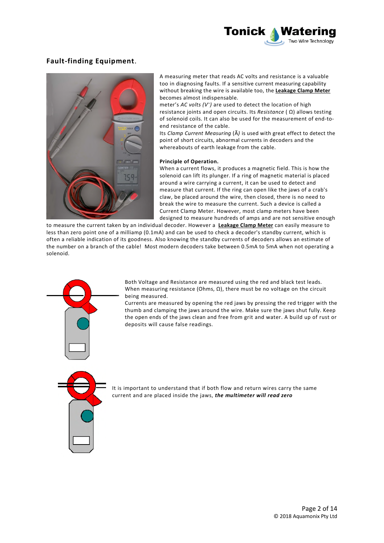

# **Fault-finding Equipment**.



A measuring meter that reads AC volts and resistance is a valuable too in diagnosing faults. If a sensitive current measuring capability without breaking the wire is available too, the **Leakage Clamp Meter**  becomes almost indispensable.

meter's *AC volts (V<sup>~</sup> )* are used to detect the location of high resistance joints and open circuits. Its *Resistance* ( Ω) allows testing of solenoid coils. It can also be used for the measurement of end-toend resistance of the cable.

Its *Clamp Current Measuring* (Ã*)* is used with great effect to detect the point of short circuits, abnormal currents in decoders and the whereabouts of earth leakage from the cable.

#### **Principle of Operation.**

When a current flows, it produces a magnetic field. This is how the solenoid can lift its plunger. If a ring of magnetic material is placed around a wire carrying a current, it can be used to detect and measure that current. If the ring can open like the jaws of a crab's claw, be placed around the wire, then closed, there is no need to break the wire to measure the current. Such a device is called a Current Clamp Meter. However, most clamp meters have been designed to measure hundreds of amps and are not sensitive enough

to measure the current taken by an individual decoder. However a **Leakage Clamp Meter** can easily measure to less than zero point one of a milliamp (0.1mA) and can be used to check a decoder's standby current, which is often a reliable indication of its goodness. Also knowing the standby currents of decoders allows an estimate of the number on a branch of the cable! Most modern decoders take between 0.5mA to 5mA when not operating a solenoid.



Currents are measured by opening the red jaws by pressing the red trigger with the thumb and clamping the jaws around the wire. Make sure the jaws shut fully. Keep the open ends of the jaws clean and free from grit and water. A build up of rust or deposits will cause false readings.



It is important to understand that if both flow and return wires carry the same current and are placed inside the jaws, *the multimeter will read zero*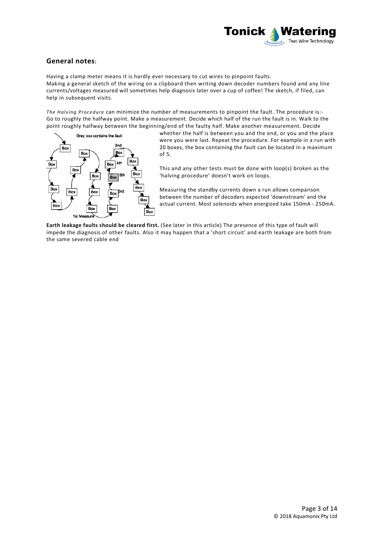

# **General notes:**

Having a clamp meter means it is hardly ever necessary to cut wires to pinpoint faults. Making a general sketch of the wiring on a clipboard then writing down decoder numbers found and any line currents/voltages measured will sometimes help diagnosis later over a cup of coffee! The sketch, if filed, can help in subsequent visits.

*The Halving Procedure* can minimize the number of measurements to pinpoint the fault. The procedure is:- Go to roughly the halfway point. Make a measurement. Decide which half of the run the fault is in. Walk to the point roughly halfway between the beginning/end of the faulty half. Make another measurement. Decide



whether the half is between you and the end, or you and the place were you were last. Repeat the procedure. For example in a run with 20 boxes, the box containing the fault can be located in a maximum of 5.

This and any other tests must be done with loop(s) broken as the 'halving procedure' doesn't work on loops.

Measuring the standby currents down a run allows comparison between the number of decoders expected 'downstream' and the actual current. Most solenoids when energized take 150mA - 250mA.

**Earth leakage faults should be cleared first.** (See later in this article) The presence of this type of fault will impede the diagnosis of other faults. Also it may happen that a 'short circuit' and earth leakage are both from the same severed cable end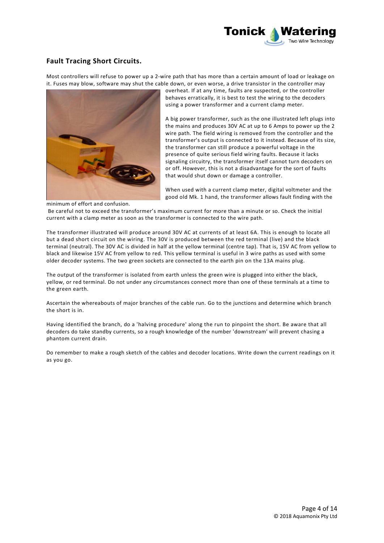

# **Fault Tracing Short Circuits.**

Most controllers will refuse to power up a 2-wire path that has more than a certain amount of load or leakage on it. Fuses may blow, software may shut the cable down, or even worse, a drive transistor in the controller may



overheat. If at any time, faults are suspected, or the controller behaves erratically, it is best to test the wiring to the decoders using a power transformer and a current clamp meter.

A big power transformer, such as the one illustrated left plugs into the mains and produces 30V AC at up to 6 Amps to power up the 2 wire path. The field wiring is removed from the controller and the transformer's output is connected to it instead. Because of its size, the transformer can still produce a powerful voltage in the presence of quite serious field wiring faults. Because it lacks signaling circuitry, the transformer itself cannot turn decoders on or off. However, this is not a disadvantage for the sort of faults that would shut down or damage a controller.

When used with a current clamp meter, digital voltmeter and the good old Mk. 1 hand, the transformer allows fault finding with the

minimum of effort and confusion.

 Be careful not to exceed the transformer's maximum current for more than a minute or so. Check the initial current with a clamp meter as soon as the transformer is connected to the wire path.

The transformer illustrated will produce around 30V AC at currents of at least 6A. This is enough to locate all but a dead short circuit on the wiring. The 30V is produced between the red terminal (live) and the black terminal (neutral). The 30V AC is divided in half at the yellow terminal (centre tap). That is, 15V AC from yellow to black and likewise 15V AC from yellow to red. This yellow terminal is useful in 3 wire paths as used with some older decoder systems. The two green sockets are connected to the earth pin on the 13A mains plug.

The output of the transformer is isolated from earth unless the green wire is plugged into either the black, yellow, or red terminal. Do not under any circumstances connect more than one of these terminals at a time to the green earth.

Ascertain the whereabouts of major branches of the cable run. Go to the junctions and determine which branch the short is in.

Having identified the branch, do a 'halving procedure' along the run to pinpoint the short. Be aware that all decoders do take standby currents, so a rough knowledge of the number 'downstream' will prevent chasing a phantom current drain.

Do remember to make a rough sketch of the cables and decoder locations. Write down the current readings on it as you go.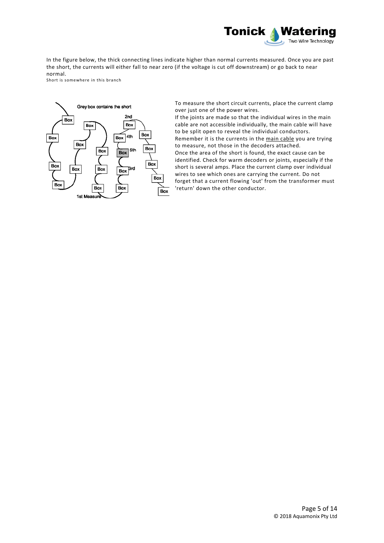

In the figure below, the thick connecting lines indicate higher than normal currents measured. Once you are past the short, the currents will either fall to near zero (if the voltage is cut off downstream) or go back to near normal.

Short is somewhere in this branch



To measure the short circuit currents, place the current clamp over just one of the power wires.

If the joints are made so that the individual wires in the main cable are not accessible individually, the main cable will have to be split open to reveal the individual conductors. Remember it is the currents in the main cable you are trying to measure, not those in the decoders attached. Once the area of the short is found, the exact cause can be identified. Check for warm decoders or joints, especially if the short is several amps. Place the current clamp over individual wires to see which ones are carrying the current. Do not forget that a current flowing 'out' from the transformer must 'return' down the other conductor.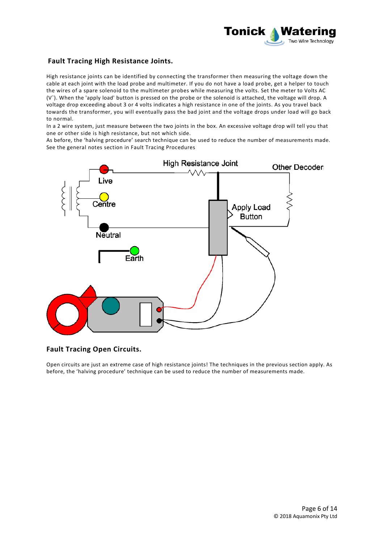

# **Fault Tracing High Resistance Joints.**

High resistance joints can be identified by connecting the transformer then measuring the voltage down the cable at each joint with the load probe and multimeter. If you do not have a load probe, get a helper to touch the wires of a spare solenoid to the multimeter probes while measuring the volts. Set the meter to Volts AC (V<sup>~</sup> ). When the 'apply load' button is pressed on the probe or the solenoid is attached, the voltage will drop. A voltage drop exceeding about 3 or 4 volts indicates a high resistance in one of the joints. As you travel back towards the transformer, you will eventually pass the bad joint and the voltage drops under load will go back to normal.

In a 2 wire system, just measure between the two joints in the box. An excessive voltage drop will tell you that one or other side is high resistance, but not which side.

As before, the 'halving procedure' search technique can be used to reduce the number of measurements made. See the general notes section in Fault Tracing Procedures



# **Fault Tracing Open Circuits.**

Open circuits are just an extreme case of high resistance joints! The techniques in the previous section apply. As before, the 'halving procedure' technique can be used to reduce the number of measurements made.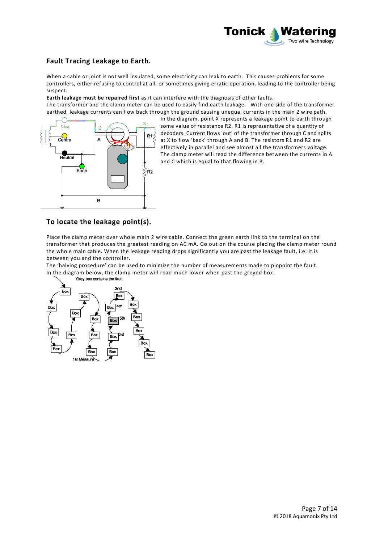

# **Fault Tracing Leakage to Earth.**

When a cable or joint is not well insulated, some electricity can leak to earth. This causes problems for some controllers, either refusing to control at all, or sometimes giving erratic operation, leading to the controller being suspect.

**Earth leakage must be repaired first** as it can interfere with the diagnosis of other faults.

The transformer and the clamp meter can be used to easily find earth leakage. With one side of the transformer earthed, leakage currents can flow back through the ground causing unequal currents in the main 2 wire path.



In the diagram, point X represents a leakage point to earth through some value of resistance R2. R1 is representative of a quantity of decoders. Current flows 'out' of the transformer through C and splits at X to flow 'back' through A and B. The resistors R1 and R2 are effectively in parallel and see almost all the transformers voltage. The clamp meter will read the difference between the currents in A and C which is equal to that flowing in B.

# **To locate the leakage point(s).**

Place the clamp meter over whole main 2 wire cable. Connect the green earth link to the terminal on the transformer that produces the greatest reading on AC mA. Go out on the course placing the clamp meter round the whole main cable. When the leakage reading drops significantly you are past the leakage fault, i.e. it is between you and the controller.

The 'halving procedure' can be used to minimize the number of measurements made to pinpoint the fault. In the diagram below, the clamp meter will read much lower when past the greyed box.<br>Grey box contains the fault

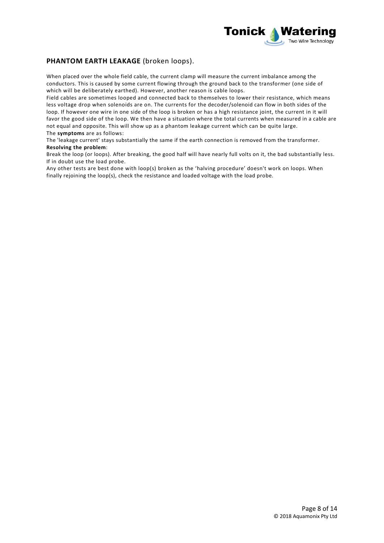

# **PHANTOM EARTH LEAKAGE** (broken loops).

When placed over the whole field cable, the current clamp will measure the current imbalance among the conductors. This is caused by some current flowing through the ground back to the transformer (one side of which will be deliberately earthed). However, another reason is cable loops.

Field cables are sometimes looped and connected back to themselves to lower their resistance, which means less voltage drop when solenoids are on. The currents for the decoder/solenoid can flow in both sides of the loop. If however one wire in one side of the loop is broken or has a high resistance joint, the current in it will favor the good side of the loop. We then have a situation where the total currents when measured in a cable are not equal and opposite. This will show up as a phantom leakage current which can be quite large. The **symptoms** are as follows:

The 'leakage current' stays substantially the same if the earth connection is removed from the transformer. **Resolving the problem**:

Break the loop (or loops). After breaking, the good half will have nearly full volts on it, the bad substantially less. If in doubt use the load probe.

Any other tests are best done with loop(s) broken as the 'halving procedure' doesn't work on loops. When finally rejoining the loop(s), check the resistance and loaded voltage with the load probe.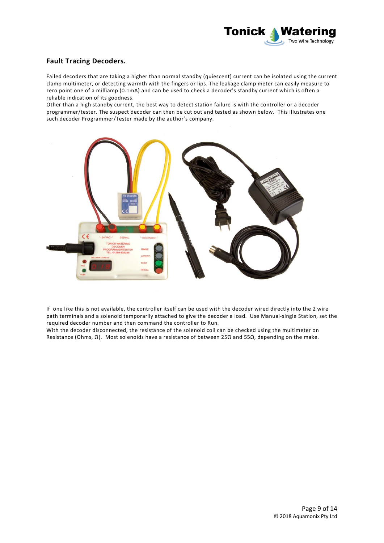

# **Fault Tracing Decoders.**

Failed decoders that are taking a higher than normal standby (quiescent) current can be isolated using the current clamp multimeter, or detecting warmth with the fingers or lips. The leakage clamp meter can easily measure to zero point one of a milliamp (0.1mA) and can be used to check a decoder's standby current which is often a reliable indication of its goodness.

Other than a high standby current, the best way to detect station failure is with the controller or a decoder programmer/tester. The suspect decoder can then be cut out and tested as shown below. This illustrates one such decoder Programmer/Tester made by the author's company.



If one like this is not available, the controller itself can be used with the decoder wired directly into the 2 wire path terminals and a solenoid temporarily attached to give the decoder a load. Use Manual-single Station, set the required decoder number and then command the controller to Run.

With the decoder disconnected, the resistance of the solenoid coil can be checked using the multimeter on Resistance (Ohms,  $\Omega$ ). Most solenoids have a resistance of between 25 $\Omega$  and 55 $\Omega$ , depending on the make.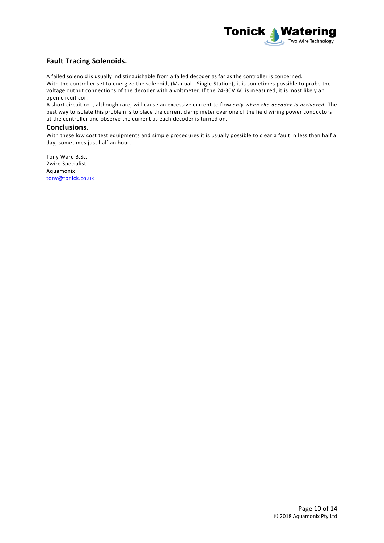

# **Fault Tracing Solenoids.**

A failed solenoid is usually indistinguishable from a failed decoder as far as the controller is concerned. With the controller set to energize the solenoid, (Manual - Single Station), it is sometimes possible to probe the voltage output connections of the decoder with a voltmeter. If the 24-30V AC is measured, it is most likely an open circuit coil.

A short circuit coil, although rare, will cause an excessive current to flow *only when the decoder is activated*. The best way to isolate this problem is to place the current clamp meter over one of the field wiring power conductors at the controller and observe the current as each decoder is turned on.

### **Conclusions.**

With these low cost test equipments and simple procedures it is usually possible to clear a fault in less than half a day, sometimes just half an hour.

Tony Ware B.Sc. 2wire Specialist Aquamonix [tony@tonick.co.uk](mailto:tony@tonick.co.uk)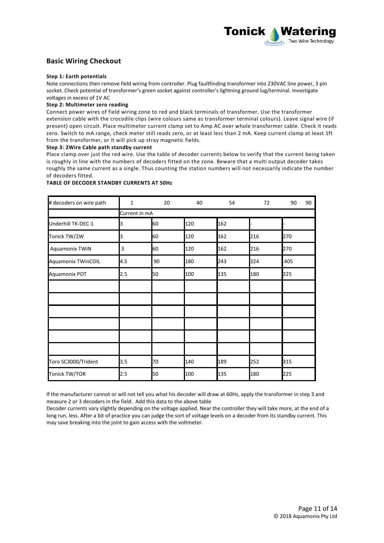

# **Basic Wiring Checkout**

#### **Step 1: Earth potentials**

Note connections then remove field wiring from controller. Plug faultfinding transformer into 230VAC line power, 3 pin socket. Check potential of transformer's green socket against controller's lightning ground lug/terminal. Investigate voltages in excess of 1V AC

#### **Step 2: Multimeter zero reading**

Connect power wires of field wiring zone to red and black terminals of transformer. Use the transformer extension cable with the crocodile clips (wire colours same as transformer terminal colours). Leave signal wire (if present) open circuit. Place multimeter current clamp set to Amp AC over whole transformer cable. Check it reads zero. Switch to mA range, check meter still reads zero, or at least less than 2 mA. Keep current clamp at least 1ft from the transformer, or it will pick up stray magnetic fields.

#### **Step 3: 2Wire Cable path standby current**

Place clamp over just the red wire. Use the table of decoder currents below to verify that the current being taken is roughly in line with the numbers of decoders fitted on the zone. Beware that a multi output decoder takes roughly the same current as a single. Thus counting the station numbers will not necessarily indicate the number of decoders fitted.

#### **TABLE OF DECODER STANDBY CURRENTS AT 50Hz**

| # decoders on wire path   | $\mathbf{1}$  | 20 | 40  | 54  | 72  | 90<br>90 |  |  |
|---------------------------|---------------|----|-----|-----|-----|----------|--|--|
|                           | Current in mA |    |     |     |     |          |  |  |
| Underhill TK-DEC-1        | З             | 60 | 120 | 162 |     |          |  |  |
| Tonick TW/2W              | 3             | 60 | 120 | 162 | 216 | 270      |  |  |
| Aquamonix TWiN            | 3             | 60 | 120 | 162 | 216 | 270      |  |  |
| <b>Aquamonix TWinCOIL</b> | 4.5           | 90 | 180 | 243 | 324 | 405      |  |  |
| Aquamonix POT             | 2.5           | 50 | 100 | 135 | 180 | 225      |  |  |
|                           |               |    |     |     |     |          |  |  |
|                           |               |    |     |     |     |          |  |  |
|                           |               |    |     |     |     |          |  |  |
|                           |               |    |     |     |     |          |  |  |
|                           |               |    |     |     |     |          |  |  |
|                           |               |    |     |     |     |          |  |  |
| Toro SC3000/Trident       | 3.5           | 70 | 140 | 189 | 252 | 315      |  |  |
| Tonick TW/TOR             | 2.5           | 50 | 100 | 135 | 180 | 225      |  |  |

If the manufacturer cannot or will not tell you what his decoder will draw at 60Hz, apply the transformer in step 3 and measure 2 or 3 decoders in the field. Add this data to the above table

Decoder currents vary slightly depending on the voltage applied. Near the controller they will take more, at the end of a long run, less. After a bit of practice you can judge the sort of voltage levels on a decoder from its standby current. This may save breaking into the joint to gain access with the voltmeter.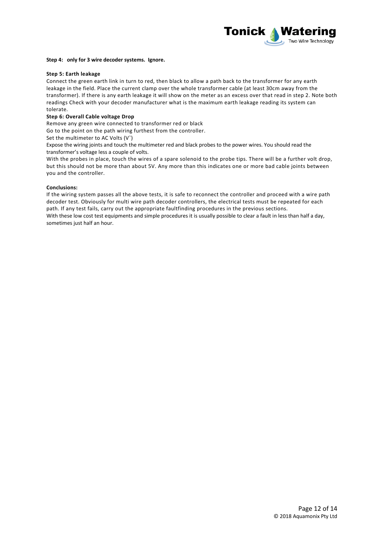

#### **Step 4: only for 3 wire decoder systems. Ignore.**

#### **Step 5: Earth leakage**

Connect the green earth link in turn to red, then black to allow a path back to the transformer for any earth leakage in the field. Place the current clamp over the whole transformer cable (at least 30cm away from the transformer). If there is any earth leakage it will show on the meter as an excess over that read in step 2. Note both readings Check with your decoder manufacturer what is the maximum earth leakage reading its system can tolerate.

#### **Step 6: Overall Cable voltage Drop**

Remove any green wire connected to transformer red or black

Go to the point on the path wiring furthest from the controller.

Set the multimeter to AC Volts (V<sup>o</sup>)

Expose the wiring joints and touch the multimeter red and black probes to the power wires. You should read the transformer's voltage less a couple of volts.

With the probes in place, touch the wires of a spare solenoid to the probe tips. There will be a further volt drop, but this should not be more than about 5V. Any more than this indicates one or more bad cable joints between you and the controller.

#### **Conclusions:**

If the wiring system passes all the above tests, it is safe to reconnect the controller and proceed with a wire path decoder test. Obviously for multi wire path decoder controllers, the electrical tests must be repeated for each path. If any test fails, carry out the appropriate faultfinding procedures in the previous sections. With these low cost test equipments and simple procedures it is usually possible to clear a fault in less than half a day, sometimes just half an hour.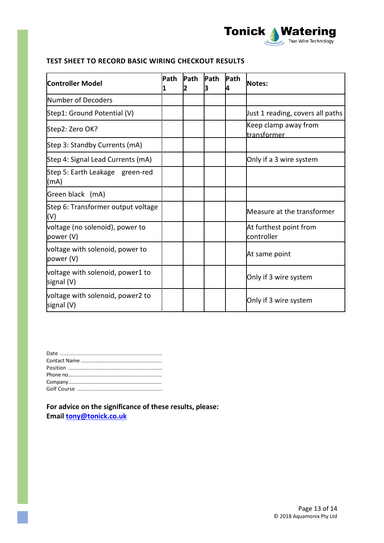

# **TEST SHEET TO RECORD BASIC WIRING CHECKOUT RESULTS**

| Path<br><b>Controller Model</b>                |  | <b>Path</b> | Path | <b>Path</b> | <b>Notes:</b>                        |
|------------------------------------------------|--|-------------|------|-------------|--------------------------------------|
| Number of Decoders                             |  |             |      |             |                                      |
| Step1: Ground Potential (V)                    |  |             |      |             | Just 1 reading, covers all paths     |
| Step2: Zero OK?                                |  |             |      |             | Keep clamp away from<br>transformer  |
| Step 3: Standby Currents (mA)                  |  |             |      |             |                                      |
| Step 4: Signal Lead Currents (mA)              |  |             |      |             | Only if a 3 wire system              |
| Step 5: Earth Leakage green-red<br>(mA)        |  |             |      |             |                                      |
| Green black (mA)                               |  |             |      |             |                                      |
| Step 6: Transformer output voltage<br>(V)      |  |             |      |             | Measure at the transformer           |
| voltage (no solenoid), power to<br>power (V)   |  |             |      |             | At furthest point from<br>controller |
| voltage with solenoid, power to<br>power (V)   |  |             |      |             | At same point                        |
| voltage with solenoid, power1 to<br>signal (V) |  |             |      |             | Only if 3 wire system                |
| voltage with solenoid, power2 to<br>signal (V) |  |             |      |             | Only if 3 wire system                |

**For advice on the significance of these results, please: Email [tony@tonick.co.uk](mailto:tony@tonick.co.uk)**